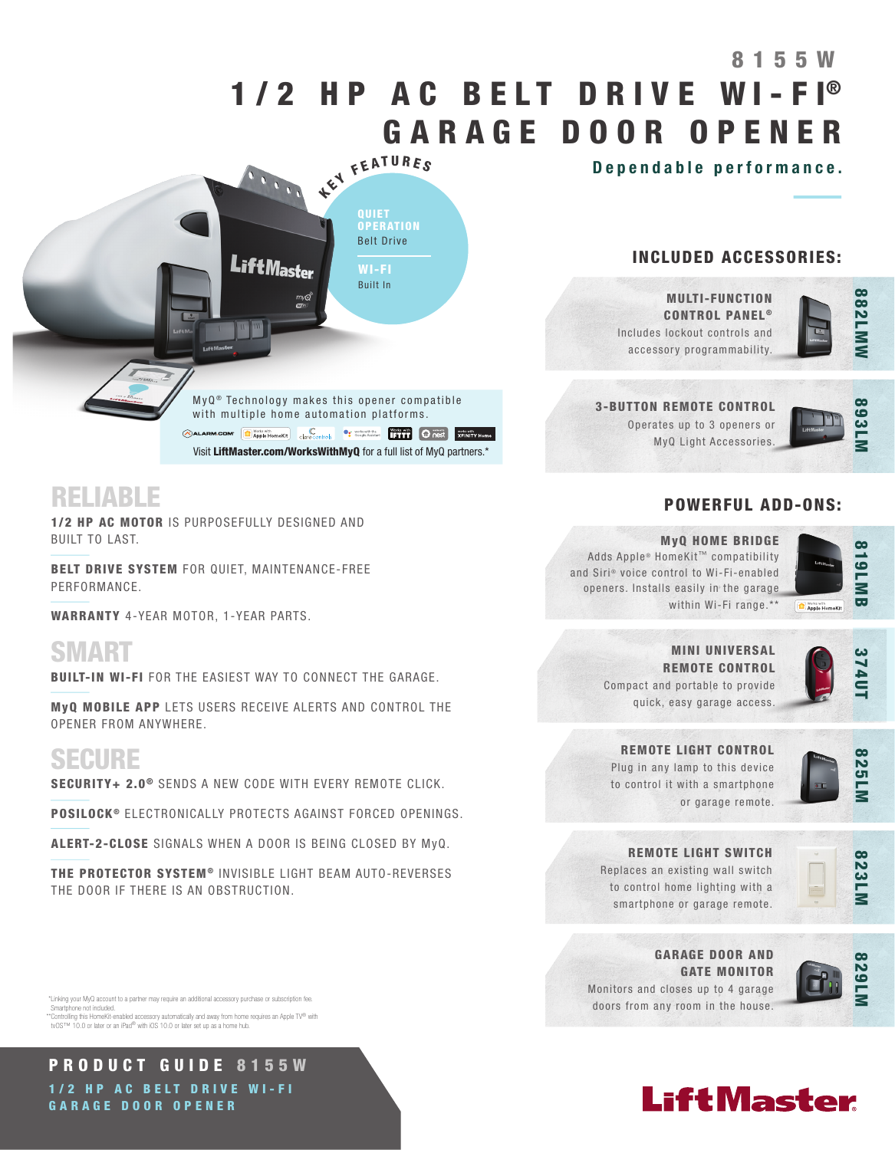# 1/2 HP AC BELT DRIVE WI-FI® GARAGE DOOR OPENER KEY FEATURES 8155W

Dependable performance.

QUIET **OPERATION** Belt Drive WI-FI Built In

 $MyQ<sup>®</sup>$  Technology makes this opener compatible with multiple home automation platforms. CALARM.COM **C** Apple HomeKit Critecontrols **C** accessibility **C** next **Representation C** next **Representation** Visit LiftMaster.com/WorksWithMyQ for a full list of MyQ partners.\*

**LiftMaster** 

## RELIABLE

1/2 HP AC MOTOR IS PURPOSEFULLY DESIGNED AND BUILT TO LAST.

BELT DRIVE SYSTEM FOR QUIET, MAINTENANCE-FREE PERFORMANCE.

WARRANTY 4-YEAR MOTOR, 1-YEAR PARTS.

SMART

BUILT-IN WI-FI FOR THE EASIEST WAY TO CONNECT THE GARAGE.

MyQ MOBILE APP LETS USERS RECEIVE ALERTS AND CONTROL THE OPENER FROM ANYWHERE.

## SECURE

SECURITY+ 2.0<sup>®</sup> SENDS A NEW CODE WITH EVERY REMOTE CLICK.

POSILOCK<sup>®</sup> ELECTRONICALLY PROTECTS AGAINST FORCED OPENINGS.

ALERT-2-CLOSE SIGNALS WHEN A DOOR IS BEING CLOSED BY MyQ.

THE PROTECTOR SYSTEM<sup>®</sup> INVISIBLE LIGHT BEAM AUTO-REVERSES THE DOOR IF THERE IS AN OBSTRUCTION.

 \*Linking your MyQ account to a partner may require an additional accessory purchase or subscription fee. Smartphone not included. \*\*Controlling this HomeKit-enabled accessory automatically and away from home requires an Apple TV® with tvOS™ 10.0 or later or an iPad® with iOS 10.0 or later set up as a home hub.

PRODUCT GUIDE 8155W 1/2 HP AC BELT DRIVE WI-FI GARAGE DOOR OPENER

## INCLUDED ACCESSORIES:

MULTI-FUNCTION CONTROL PANEL<sup>®</sup> Includes lockout controls and accessory programmability.



3-BUTTON REMOTE CONTROL Operates up to 3 openers or MyQ Light Accessories.



## POWERFUL ADD-ONS:

MyQ HOME BRIDGE Adds Apple® HomeKit™ compatibility and Siri® voice control to Wi-Fi-enabled openers. Installs easily in the garage within Wi-Fi range.\*\*



MINI UNIVERSAL REMOTE CONTROL Compact and portable to provide quick, easy garage access.

REMOTE LIGHT CONTROL Plug in any lamp to this device to control it with a smartphone

or garage remote.



**725L** 

REMOTE LIGHT SWITCH Replaces an existing wall switch to control home lighting with a

smartphone or garage remote.



GARAGE DOOR AND GATE MONITOR Monitors and closes up to 4 garage doors from any room in the house.